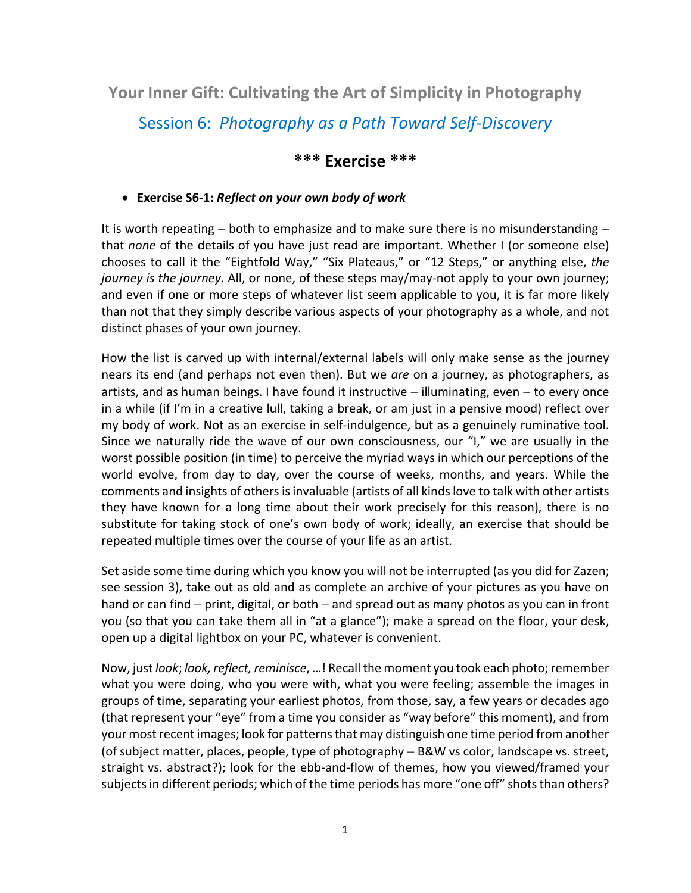**Your Inner Gift: Cultivating the Art of Simplicity in Photography**

Session 6: *Photography as a Path Toward Self-Discovery*

## **\*\*\* Exercise \*\*\***

## • **Exercise S6-1:** *Reflect on your own body of work*

It is worth repeating – both to emphasize and to make sure there is no misunderstanding – that *none* of the details of you have just read are important. Whether I (or someone else) chooses to call it the "Eightfold Way," "Six Plateaus," or "12 Steps," or anything else, *the journey is the journey*. All, or none, of these steps may/may-not apply to your own journey; and even if one or more steps of whatever list seem applicable to you, it is far more likely than not that they simply describe various aspects of your photography as a whole, and not distinct phases of your own journey.

How the list is carved up with internal/external labels will only make sense as the journey nears its end (and perhaps not even then). But we *are* on a journey, as photographers, as artists, and as human beings. I have found it instructive − illuminating, even – to every once in a while (if I'm in a creative lull, taking a break, or am just in a pensive mood) reflect over my body of work. Not as an exercise in self-indulgence, but as a genuinely ruminative tool. Since we naturally ride the wave of our own consciousness, our "I," we are usually in the worst possible position (in time) to perceive the myriad ways in which our perceptions of the world evolve, from day to day, over the course of weeks, months, and years. While the comments and insights of others is invaluable (artists of all kinds love to talk with other artists they have known for a long time about their work precisely for this reason), there is no substitute for taking stock of one's own body of work; ideally, an exercise that should be repeated multiple times over the course of your life as an artist.

Set aside some time during which you know you will not be interrupted (as you did for Zazen; see session 3), take out as old and as complete an archive of your pictures as you have on hand or can find – print, digital, or both – and spread out as many photos as you can in front you (so that you can take them all in "at a glance"); make a spread on the floor, your desk, open up a digital lightbox on your PC, whatever is convenient.

Now, just *look*; *look, reflect, reminisce*, …! Recall the moment you took each photo; remember what you were doing, who you were with, what you were feeling; assemble the images in groups of time, separating your earliest photos, from those, say, a few years or decades ago (that represent your "eye" from a time you consider as "way before" this moment), and from your most recent images; look for patterns that may distinguish one time period from another (of subject matter, places, people, type of photography − B&W vs color, landscape vs. street, straight vs. abstract?); look for the ebb-and-flow of themes, how you viewed/framed your subjects in different periods; which of the time periods has more "one off" shots than others?